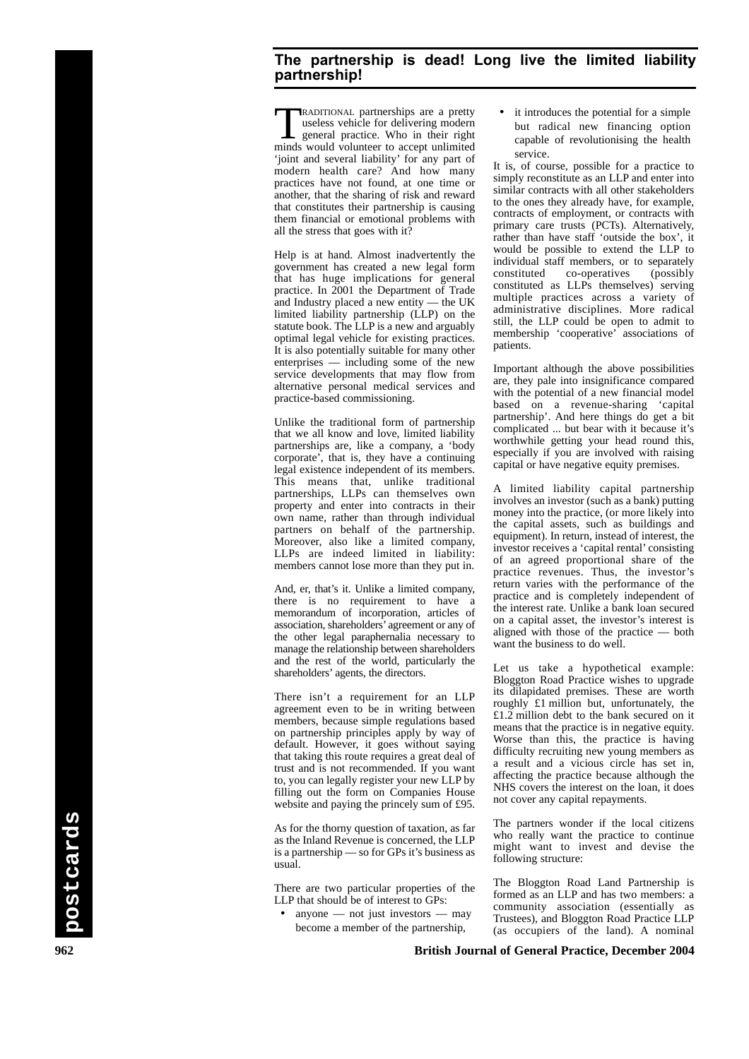## **The partnership is dead! Long live the limited liability partnership!**

**TRADITIONAL partnerships are a pretty**<br>useless vehicle for delivering modern<br>general practice. Who in their right<br>minds would volunteer to an unlimited useless vehicle for delivering modern minds would volunteer to accept unlimited 'joint and several liability' for any part of modern health care? And how many practices have not found, at one time or another, that the sharing of risk and reward that constitutes their partnership is causing them financial or emotional problems with all the stress that goes with it?

Help is at hand. Almost inadvertently the government has created a new legal form that has huge implications for general practice. In 2001 the Department of Trade and Industry placed a new entity — the UK limited liability partnership (LLP) on the statute book. The LLP is a new and arguably optimal legal vehicle for existing practices. It is also potentially suitable for many other enterprises — including some of the new service developments that may flow from alternative personal medical services and practice-based commissioning.

Unlike the traditional form of partnership that we all know and love, limited liability partnerships are, like a company, a 'body corporate', that is, they have a continuing legal existence independent of its members. This means that, unlike traditional partnerships, LLPs can themselves own property and enter into contracts in their own name, rather than through individual partners on behalf of the partnership. Moreover, also like a limited company, LLPs are indeed limited in liability: members cannot lose more than they put in.

And, er, that's it. Unlike a limited company, there is no requirement to have a memorandum of incorporation, articles of association, shareholders'agreement or any of the other legal paraphernalia necessary to manage the relationship between shareholders and the rest of the world, particularly the shareholders' agents, the directors.

There isn't a requirement for an LLP agreement even to be in writing between members, because simple regulations based on partnership principles apply by way of default. However, it goes without saying that taking this route requires a great deal of trust and is not recommended. If you want to, you can legally register your new LLP by filling out the form on Companies House website and paying the princely sum of £95.

As for the thorny question of taxation, as far as the Inland Revenue is concerned, the LLP is a partnership — so for GPs it's business as usual.

There are two particular properties of the LLP that should be of interest to GPs:

• anyone — not just investors — may become a member of the partnership,

it introduces the potential for a simple but radical new financing option capable of revolutionising the health service.

It is, of course, possible for a practice to simply reconstitute as an LLP and enter into similar contracts with all other stakeholders to the ones they already have, for example, contracts of employment, or contracts with primary care trusts (PCTs). Alternatively, rather than have staff 'outside the box', it would be possible to extend the LLP to individual staff members, or to separately constituted co-operatives (possibly constituted as LLPs themselves) serving multiple practices across a variety of administrative disciplines. More radical still, the LLP could be open to admit to membership 'cooperative' associations of patients.

Important although the above possibilities are, they pale into insignificance compared with the potential of a new financial model based on a revenue-sharing 'capital partnership'. And here things do get a bit complicated ... but bear with it because it's worthwhile getting your head round this, especially if you are involved with raising capital or have negative equity premises.

A limited liability capital partnership involves an investor (such as a bank) putting money into the practice, (or more likely into the capital assets, such as buildings and equipment). In return, instead of interest, the investor receives a 'capital rental' consisting of an agreed proportional share of the practice revenues. Thus, the investor's return varies with the performance of the practice and is completely independent of the interest rate. Unlike a bank loan secured on a capital asset, the investor's interest is aligned with those of the practice — both want the business to do well.

Let us take a hypothetical example: Bloggton Road Practice wishes to upgrade its dilapidated premises. These are worth roughly £1 million but, unfortunately, the £1.2 million debt to the bank secured on it means that the practice is in negative equity. Worse than this, the practice is having difficulty recruiting new young members as a result and a vicious circle has set in, affecting the practice because although the NHS covers the interest on the loan, it does not cover any capital repayments.

The partners wonder if the local citizens who really want the practice to continue might want to invest and devise the following structure:

**962 British Journal of General Practice, December 2004 postcards** The Bloggton Road Land Partnership is formed as an LLP and has two members: a community association (essentially as Trustees), and Bloggton Road Practice LLP (as occupiers of the land). A nominal